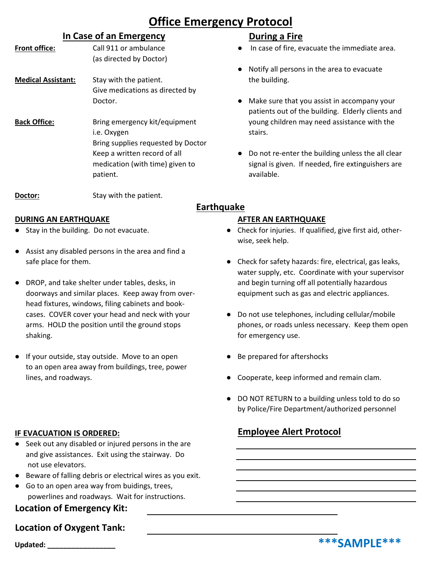# **Office Emergency Protocol**

## **In Case of an Emergency**

- (as directed by Doctor) **Medical Assistant:** Stay with the patient. The building. Give medications as directed by
- **Back Office:** Bring emergency kit/equipment young children may need assistance with the i.e. Oxygen stairs. Bring supplies requested by Doctor patient. **and a set of the set of the set of the set of the set of the set of the set of the set of the set of the set of the set of the set of the set of the set of the set of the set of the set of the set of the set of t**

**Doctor:** Stay with the patient.

### **DURING AN EARTHQUAKE AFTER AN EARTHQUAKE**

- 
- Assist any disabled persons in the area and find a
- DROP, and take shelter under tables, desks, in and begin turning off all potentially hazardous doorways and similar places. Keep away from over- equipment such as gas and electric appliances. head fixtures, windows, filing cabinets and bookcases. COVER cover your head and neck with your • Do not use telephones, including cellular/mobile shaking. The shaking shaking is the state of the state of the state of the state of the state of the state of the state of the state of the state of the state of the state of the state of the state of the state of the stat
- If your outside, stay outside. Move to an open Be prepared for aftershocks to an open area away from buildings, tree, power lines, and roadways.  $\bullet$  Cooperate, keep informed and remain clam.

### **IF EVACUATION IS ORDERED:**

- Seek out any disabled or injured persons in the are and give assistances. Exit using the stairway. Do not use elevators.
- Beware of falling debris or electrical wires as you exit.
- Go to an open area way from buidings, trees, powerlines and roadways. Wait for instructions.

## **Location of Emergency Kit:**

## **Location of Oxygent Tank:**

## **During a Fire**

- **Front office:** Call 911 or ambulance **Ally any Case of fire, evacuate the immediate area.** 
	- Notify all persons in the area to evacuate
	- Doctor. **A CONFIDENT CONTENT OF SURFE Doctor CONFIDENT CONFIDENT CONFIDENT CONFIDENT CONFIDENT CONFIDENT CONFIDENT CONFIDENT CONFIDENT CONFIDENT CONFIDENT CONFIDENT CONFIDENT CONFIDENT CONFI** patients out of the building. Elderly clients and
	- Keep a written record of all **•** Do not re-enter the building unless the all clear medication (with time) given to signal is given. If needed, fire extinguishers are

## **Earthquake**

- Stay in the building. Do not evacuate. **•••** Check for injuries. If qualified, give first aid, otherwise, seek help.
- safe place for them.  $\bullet$  Check for safety hazards: fire, electrical, gas leaks, water supply, etc. Coordinate with your supervisor
- arms. HOLD the position until the ground stops phones, or roads unless necessary. Keep them open
	-
	-
	- DO NOT RETURN to a building unless told to do so by Police/Fire Department/authorized personnel

# **Employee Alert Protocol**